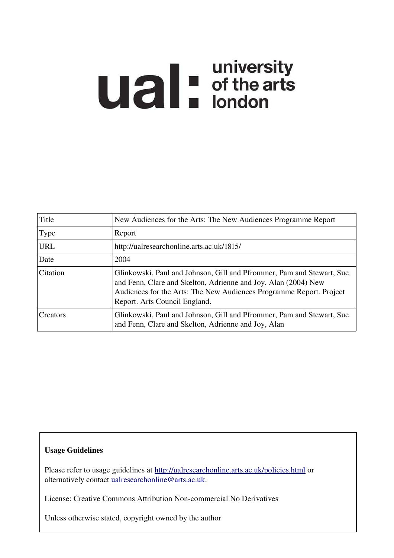# **Ual** For differents

| Title      | New Audiences for the Arts: The New Audiences Programme Report                                                                                                                                                                                  |
|------------|-------------------------------------------------------------------------------------------------------------------------------------------------------------------------------------------------------------------------------------------------|
| Type       | Report                                                                                                                                                                                                                                          |
| <b>URL</b> | http://ualresearchonline.arts.ac.uk/1815/                                                                                                                                                                                                       |
| Date       | 2004                                                                                                                                                                                                                                            |
| Citation   | Glinkowski, Paul and Johnson, Gill and Pfrommer, Pam and Stewart, Sue<br>and Fenn, Clare and Skelton, Adrienne and Joy, Alan (2004) New<br>Audiences for the Arts: The New Audiences Programme Report. Project<br>Report. Arts Council England. |
| Creators   | Glinkowski, Paul and Johnson, Gill and Pfrommer, Pam and Stewart, Sue<br>and Fenn, Clare and Skelton, Adrienne and Joy, Alan                                                                                                                    |

#### Usage Guidelines

Please refer to usage guidelines at<http://ualresearchonline.arts.ac.uk/policies.html>or alternatively contact [ualresearchonline@arts.ac.uk.](mailto:ualresearchonline@arts.ac.uk)

License: Creative Commons Attribution Non-commercial No Derivatives

Unless otherwise stated, copyright owned by the author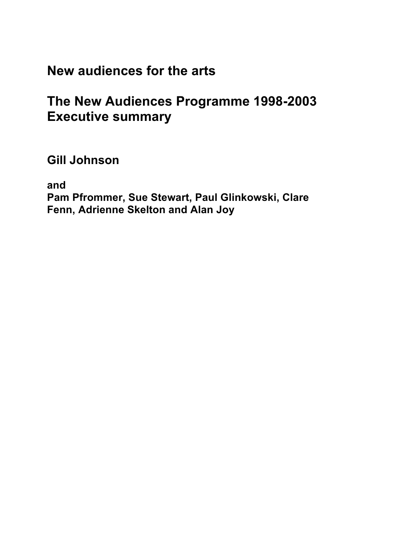# **New audiences for the arts**

# **The New Audiences Programme 1998-2003 Executive summary**

**Gill Johnson**

**and**

**Pam Pfrommer, Sue Stewart, Paul Glinkowski, Clare Fenn, Adrienne Skelton and Alan Joy**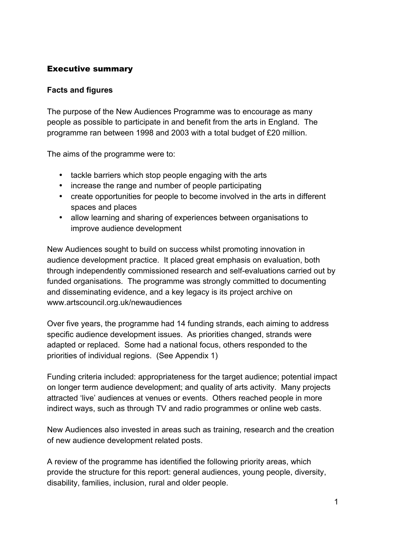# Executive summary

## **Facts and figures**

The purpose of the New Audiences Programme was to encourage as many people as possible to participate in and benefit from the arts in England. The programme ran between 1998 and 2003 with a total budget of £20 million.

The aims of the programme were to:

- tackle barriers which stop people engaging with the arts
- increase the range and number of people participating
- create opportunities for people to become involved in the arts in different spaces and places
- allow learning and sharing of experiences between organisations to improve audience development

New Audiences sought to build on success whilst promoting innovation in audience development practice. It placed great emphasis on evaluation, both through independently commissioned research and self-evaluations carried out by funded organisations. The programme was strongly committed to documenting and disseminating evidence, and a key legacy is its project archive on www.artscouncil.org.uk/newaudiences

Over five years, the programme had 14 funding strands, each aiming to address specific audience development issues. As priorities changed, strands were adapted or replaced. Some had a national focus, others responded to the priorities of individual regions. (See Appendix 1)

Funding criteria included: appropriateness for the target audience; potential impact on longer term audience development; and quality of arts activity. Many projects attracted 'live' audiences at venues or events. Others reached people in more indirect ways, such as through TV and radio programmes or online web casts.

New Audiences also invested in areas such as training, research and the creation of new audience development related posts.

A review of the programme has identified the following priority areas, which provide the structure for this report: general audiences, young people, diversity, disability, families, inclusion, rural and older people.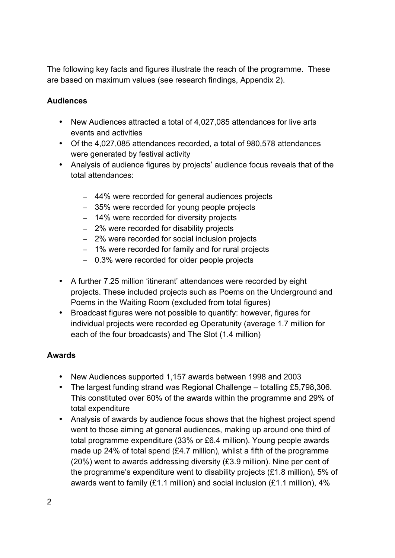The following key facts and figures illustrate the reach of the programme. These are based on maximum values (see research findings, Appendix 2).

# **Audiences**

- New Audiences attracted a total of 4,027,085 attendances for live arts events and activities
- Of the 4,027,085 attendances recorded, a total of 980,578 attendances were generated by festival activity
- Analysis of audience figures by projects' audience focus reveals that of the total attendances:
	- 44% were recorded for general audiences projects
	- 35% were recorded for young people projects
	- 14% were recorded for diversity projects
	- 2% were recorded for disability projects
	- 2% were recorded for social inclusion projects
	- 1% were recorded for family and for rural projects
	- 0.3% were recorded for older people projects
- A further 7.25 million 'itinerant' attendances were recorded by eight projects. These included projects such as Poems on the Underground and Poems in the Waiting Room (excluded from total figures)
- Broadcast figures were not possible to quantify: however, figures for individual projects were recorded eg Operatunity (average 1.7 million for each of the four broadcasts) and The Slot (1.4 million)

## **Awards**

- New Audiences supported 1,157 awards between 1998 and 2003
- The largest funding strand was Regional Challenge totalling £5,798,306. This constituted over 60% of the awards within the programme and 29% of total expenditure
- Analysis of awards by audience focus shows that the highest project spend went to those aiming at general audiences, making up around one third of total programme expenditure (33% or £6.4 million). Young people awards made up 24% of total spend (£4.7 million), whilst a fifth of the programme (20%) went to awards addressing diversity (£3.9 million). Nine per cent of the programme's expenditure went to disability projects (£1.8 million), 5% of awards went to family (£1.1 million) and social inclusion (£1.1 million),  $4\%$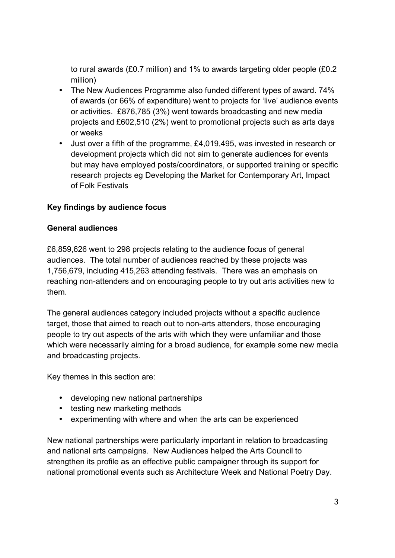to rural awards (£0.7 million) and 1% to awards targeting older people (£0.2 million)

- The New Audiences Programme also funded different types of award. 74% of awards (or 66% of expenditure) went to projects for 'live' audience events or activities. £876,785 (3%) went towards broadcasting and new media projects and £602,510 (2%) went to promotional projects such as arts days or weeks
- Just over a fifth of the programme, £4,019,495, was invested in research or development projects which did not aim to generate audiences for events but may have employed posts/coordinators, or supported training or specific research projects eg Developing the Market for Contemporary Art, Impact of Folk Festivals

# **Key findings by audience focus**

## **General audiences**

£6,859,626 went to 298 projects relating to the audience focus of general audiences. The total number of audiences reached by these projects was 1,756,679, including 415,263 attending festivals. There was an emphasis on reaching non-attenders and on encouraging people to try out arts activities new to them.

The general audiences category included projects without a specific audience target, those that aimed to reach out to non-arts attenders, those encouraging people to try out aspects of the arts with which they were unfamiliar and those which were necessarily aiming for a broad audience, for example some new media and broadcasting projects.

Key themes in this section are:

- developing new national partnerships
- testing new marketing methods
- experimenting with where and when the arts can be experienced

New national partnerships were particularly important in relation to broadcasting and national arts campaigns. New Audiences helped the Arts Council to strengthen its profile as an effective public campaigner through its support for national promotional events such as Architecture Week and National Poetry Day.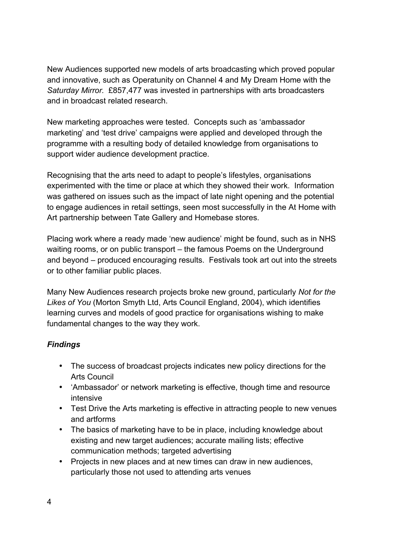New Audiences supported new models of arts broadcasting which proved popular and innovative, such as Operatunity on Channel 4 and My Dream Home with the *Saturday Mirror.* £857,477 was invested in partnerships with arts broadcasters and in broadcast related research.

New marketing approaches were tested. Concepts such as 'ambassador marketing' and 'test drive' campaigns were applied and developed through the programme with a resulting body of detailed knowledge from organisations to support wider audience development practice.

Recognising that the arts need to adapt to people's lifestyles, organisations experimented with the time or place at which they showed their work. Information was gathered on issues such as the impact of late night opening and the potential to engage audiences in retail settings, seen most successfully in the At Home with Art partnership between Tate Gallery and Homebase stores.

Placing work where a ready made 'new audience' might be found, such as in NHS waiting rooms, or on public transport – the famous Poems on the Underground and beyond – produced encouraging results. Festivals took art out into the streets or to other familiar public places.

Many New Audiences research projects broke new ground, particularly *Not for the Likes of You* (Morton Smyth Ltd, Arts Council England, 2004), which identifies learning curves and models of good practice for organisations wishing to make fundamental changes to the way they work.

# *Findings*

- The success of broadcast projects indicates new policy directions for the Arts Council
- 'Ambassador' or network marketing is effective, though time and resource intensive
- Test Drive the Arts marketing is effective in attracting people to new venues and artforms
- The basics of marketing have to be in place, including knowledge about existing and new target audiences; accurate mailing lists; effective communication methods; targeted advertising
- Projects in new places and at new times can draw in new audiences, particularly those not used to attending arts venues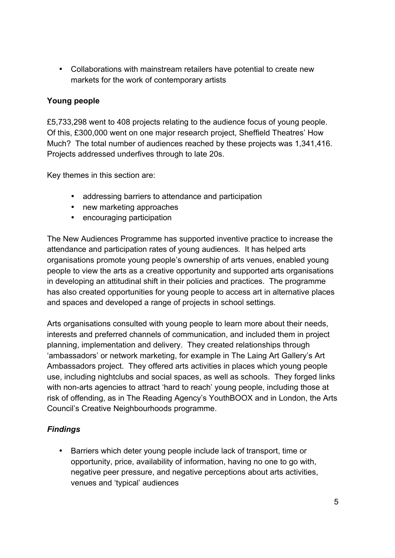• Collaborations with mainstream retailers have potential to create new markets for the work of contemporary artists

# **Young people**

£5,733,298 went to 408 projects relating to the audience focus of young people. Of this, £300,000 went on one major research project, Sheffield Theatres' How Much?The total number of audiences reached by these projects was 1,341,416. Projects addressed underfives through to late 20s.

Key themes in this section are:

- addressing barriers to attendance and participation
- new marketing approaches
- encouraging participation

The New Audiences Programme has supported inventive practice to increase the attendance and participation rates of young audiences. It has helped arts organisations promote young people's ownership of arts venues, enabled young people to view the arts as a creative opportunity and supported arts organisations in developing an attitudinal shift in their policies and practices. The programme has also created opportunities for young people to access art in alternative places and spaces and developed a range of projects in school settings.

Arts organisations consulted with young people to learn more about their needs, interests and preferred channels of communication, and included them in project planning, implementation and delivery. They created relationships through 'ambassadors' or network marketing, for example in The Laing Art Gallery's Art Ambassadors project. They offered arts activities in places which young people use, including nightclubs and social spaces, as well as schools. They forged links with non-arts agencies to attract 'hard to reach' young people, including those at risk of offending, as in The Reading Agency's YouthBOOX and in London, the Arts Council's Creative Neighbourhoods programme.

## *Findings*

• Barriers which deter young people include lack of transport, time or opportunity, price, availability of information, having no one to go with, negative peer pressure, and negative perceptions about arts activities, venues and 'typical' audiences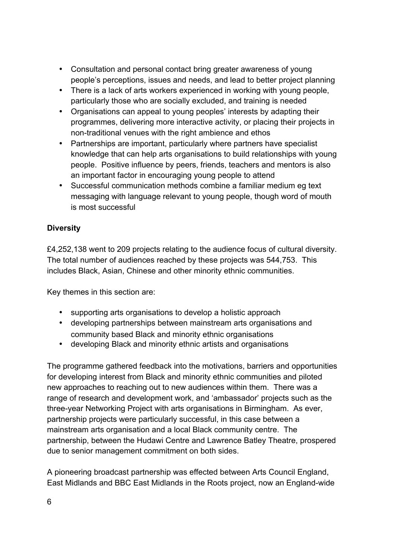- Consultation and personal contact bring greater awareness of young people's perceptions, issues and needs, and lead to better project planning
- There is a lack of arts workers experienced in working with young people, particularly those who are socially excluded, and training is needed
- Organisations can appeal to young peoples' interests by adapting their programmes, delivering more interactive activity, or placing their projects in non-traditional venues with the right ambience and ethos
- Partnerships are important, particularly where partners have specialist knowledge that can help arts organisations to build relationships with young people. Positive influence by peers, friends, teachers and mentors is also an important factor in encouraging young people to attend
- Successful communication methods combine a familiar medium eg text messaging with language relevant to young people, though word of mouth is most successful

# **Diversity**

£4,252,138 went to 209 projects relating to the audience focus of cultural diversity. The total number of audiences reached by these projects was 544,753. This includes Black, Asian, Chinese and other minority ethnic communities.

Key themes in this section are:

- supporting arts organisations to develop a holistic approach
- developing partnerships between mainstream arts organisations and community based Black and minority ethnic organisations
- developing Black and minority ethnic artists and organisations

The programme gathered feedback into the motivations, barriers and opportunities for developing interest from Black and minority ethnic communities and piloted new approaches to reaching out to new audiences within them. There was a range of research and development work, and 'ambassador' projects such as the three-year Networking Project with arts organisations in Birmingham. As ever, partnership projects were particularly successful, in this case between a mainstream arts organisation and a local Black community centre. The partnership, between the Hudawi Centre and Lawrence Batley Theatre, prospered due to senior management commitment on both sides.

A pioneering broadcast partnership was effected between Arts Council England, East Midlands and BBC East Midlands in the Roots project, now an England-wide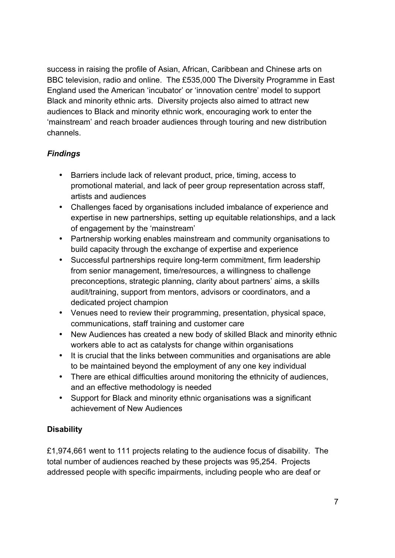success in raising the profile of Asian, African, Caribbean and Chinese arts on BBC television, radio and online. The £535,000 The Diversity Programme in East England used the American 'incubator' or 'innovation centre' model to support Black and minority ethnic arts. Diversity projects also aimed to attract new audiences to Black and minority ethnic work, encouraging work to enter the 'mainstream' and reach broader audiences through touring and new distribution channels.

# *Findings*

- Barriers include lack of relevant product, price, timing, access to promotional material, and lack of peer group representation across staff, artists and audiences
- Challenges faced by organisations included imbalance of experience and expertise in new partnerships, setting up equitable relationships, and a lack of engagement by the 'mainstream'
- Partnership working enables mainstream and community organisations to build capacity through the exchange of expertise and experience
- Successful partnerships require long-term commitment, firm leadership from senior management, time/resources, a willingness to challenge preconceptions, strategic planning, clarity about partners' aims, a skills audit/training, support from mentors, advisors or coordinators, and a dedicated project champion
- Venues need to review their programming, presentation, physical space, communications, staff training and customer care
- New Audiences has created a new body of skilled Black and minority ethnic workers able to act as catalysts for change within organisations
- It is crucial that the links between communities and organisations are able to be maintained beyond the employment of any one key individual
- There are ethical difficulties around monitoring the ethnicity of audiences, and an effective methodology is needed
- Support for Black and minority ethnic organisations was a significant achievement of New Audiences

# **Disability**

£1,974,661 went to 111 projects relating to the audience focus of disability. The total number of audiences reached by these projects was 95,254. Projects addressed people with specific impairments, including people who are deaf or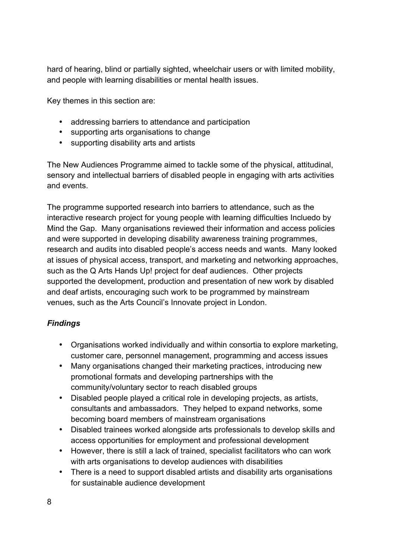hard of hearing, blind or partially sighted, wheelchair users or with limited mobility, and people with learning disabilities or mental health issues.

Key themes in this section are:

- addressing barriers to attendance and participation
- supporting arts organisations to change
- supporting disability arts and artists

The New Audiences Programme aimed to tackle some of the physical, attitudinal, sensory and intellectual barriers of disabled people in engaging with arts activities and events.

The programme supported research into barriers to attendance, such as the interactive research project for young people with learning difficulties Incluedo by Mind the Gap. Many organisations reviewed their information and access policies and were supported in developing disability awareness training programmes, research and audits into disabled people's access needs and wants. Many looked at issues of physical access, transport, and marketing and networking approaches, such as the Q Arts Hands Up! project for deaf audiences. Other projects supported the development, production and presentation of new work by disabled and deaf artists, encouraging such work to be programmed by mainstream venues, such as the Arts Council's Innovate project in London.

# *Findings*

- Organisations worked individually and within consortia to explore marketing, customer care, personnel management, programming and access issues
- Many organisations changed their marketing practices, introducing new promotional formats and developing partnerships with the community/voluntary sector to reach disabled groups
- Disabled people played a critical role in developing projects, as artists, consultants and ambassadors. They helped to expand networks, some becoming board members of mainstream organisations
- Disabled trainees worked alongside arts professionals to develop skills and access opportunities for employment and professional development
- However, there is still a lack of trained, specialist facilitators who can work with arts organisations to develop audiences with disabilities
- There is a need to support disabled artists and disability arts organisations for sustainable audience development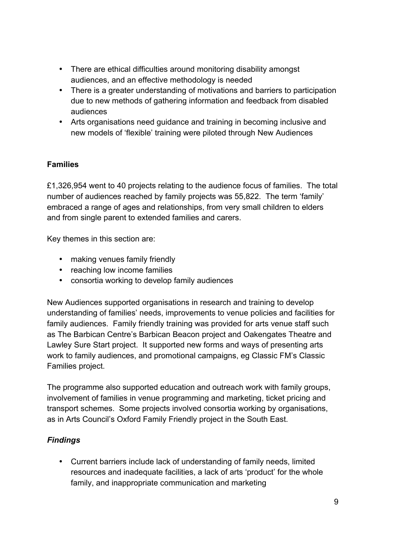- There are ethical difficulties around monitoring disability amongst audiences, and an effective methodology is needed
- There is a greater understanding of motivations and barriers to participation due to new methods of gathering information and feedback from disabled audiences
- Arts organisations need guidance and training in becoming inclusive and new models of 'flexible' training were piloted through New Audiences

# **Families**

£1,326,954 went to 40 projects relating to the audience focus of families. The total number of audiences reached by family projects was 55,822. The term 'family' embraced a range of ages and relationships, from very small children to elders and from single parent to extended families and carers.

Key themes in this section are:

- making venues family friendly
- reaching low income families
- consortia working to develop family audiences

New Audiences supported organisations in research and training to develop understanding of families' needs, improvements to venue policies and facilities for family audiences. Family friendly training was provided for arts venue staff such as The Barbican Centre's Barbican Beacon project and Oakengates Theatre and Lawley Sure Start project. It supported new forms and ways of presenting arts work to family audiences, and promotional campaigns, eg Classic FM's Classic Families project.

The programme also supported education and outreach work with family groups, involvement of families in venue programming and marketing, ticket pricing and transport schemes. Some projects involved consortia working by organisations, as in Arts Council's Oxford Family Friendly project in the South East.

# *Findings*

• Current barriers include lack of understanding of family needs, limited resources and inadequate facilities, a lack of arts 'product' for the whole family, and inappropriate communication and marketing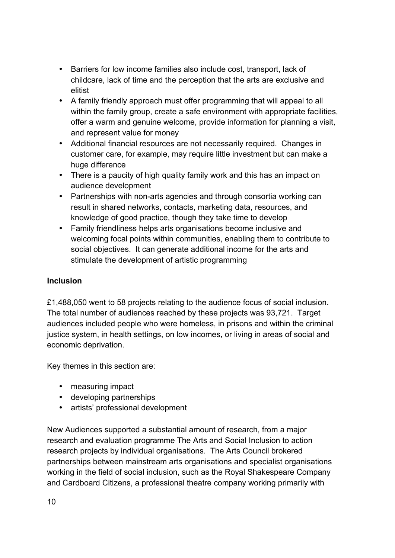- Barriers for low income families also include cost, transport, lack of childcare, lack of time and the perception that the arts are exclusive and elitist
- A family friendly approach must offer programming that will appeal to all within the family group, create a safe environment with appropriate facilities, offer a warm and genuine welcome, provide information for planning a visit, and represent value for money
- Additional financial resources are not necessarily required. Changes in customer care, for example, may require little investment but can make a huge difference
- There is a paucity of high quality family work and this has an impact on audience development
- Partnerships with non-arts agencies and through consortia working can result in shared networks, contacts, marketing data, resources, and knowledge of good practice, though they take time to develop
- Family friendliness helps arts organisations become inclusive and welcoming focal points within communities, enabling them to contribute to social objectives. It can generate additional income for the arts and stimulate the development of artistic programming

# **Inclusion**

£1,488,050 went to 58 projects relating to the audience focus of social inclusion. The total number of audiences reached by these projects was 93,721. Target audiences included people who were homeless, in prisons and within the criminal justice system, in health settings, on low incomes, or living in areas of social and economic deprivation.

Key themes in this section are:

- measuring impact
- developing partnerships
- artists' professional development

New Audiences supported a substantial amount of research, from a major research and evaluation programme The Arts and Social Inclusion to action research projects by individual organisations. The Arts Council brokered partnerships between mainstream arts organisations and specialist organisations working in the field of social inclusion, such as the Royal Shakespeare Company and Cardboard Citizens, a professional theatre company working primarily with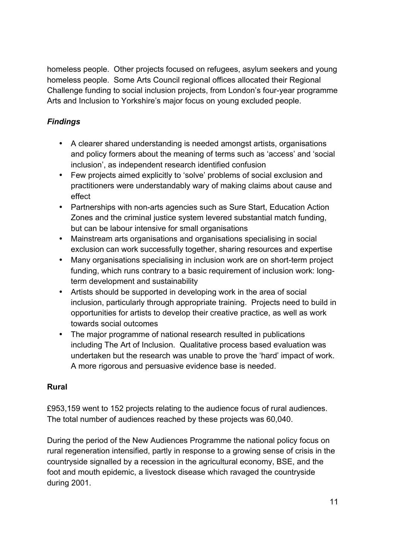homeless people. Other projects focused on refugees, asylum seekers and young homeless people. Some Arts Council regional offices allocated their Regional Challenge funding to social inclusion projects, from London's four-year programme Arts and Inclusion to Yorkshire's major focus on young excluded people.

# *Findings*

- A clearer shared understanding is needed amongst artists, organisations and policy formers about the meaning of terms such as 'access' and 'social inclusion', as independent research identified confusion
- Few projects aimed explicitly to 'solve' problems of social exclusion and practitioners were understandably wary of making claims about cause and effect
- Partnerships with non-arts agencies such as Sure Start, Education Action Zones and the criminal justice system levered substantial match funding, but can be labour intensive for small organisations
- Mainstream arts organisations and organisations specialising in social exclusion can work successfully together, sharing resources and expertise
- Many organisations specialising in inclusion work are on short-term project funding, which runs contrary to a basic requirement of inclusion work: longterm development and sustainability
- Artists should be supported in developing work in the area of social inclusion, particularly through appropriate training. Projects need to build in opportunities for artists to develop their creative practice, as well as work towards social outcomes
- The major programme of national research resulted in publications including The Art of Inclusion. Qualitative process based evaluation was undertaken but the research was unable to prove the 'hard' impact of work. A more rigorous and persuasive evidence base is needed.

## **Rural**

£953,159 went to 152 projects relating to the audience focus of rural audiences. The total number of audiences reached by these projects was 60,040.

During the period of the New Audiences Programme the national policy focus on rural regeneration intensified, partly in response to a growing sense of crisis in the countryside signalled by a recession in the agricultural economy, BSE, and the foot and mouth epidemic, a livestock disease which ravaged the countryside during 2001.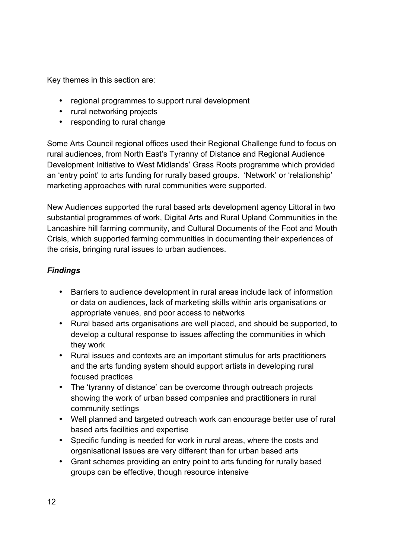Key themes in this section are:

- regional programmes to support rural development
- rural networking projects
- responding to rural change

Some Arts Council regional offices used their Regional Challenge fund to focus on rural audiences, from North East's Tyranny of Distance and Regional Audience Development Initiative to West Midlands' Grass Roots programme which provided an 'entry point' to arts funding for rurally based groups. 'Network' or 'relationship' marketing approaches with rural communities were supported.

New Audiences supported the rural based arts development agency Littoral in two substantial programmes of work, Digital Arts and Rural Upland Communities in the Lancashire hill farming community, and Cultural Documents of the Foot and Mouth Crisis, which supported farming communities in documenting their experiences of the crisis, bringing rural issues to urban audiences.

# *Findings*

- Barriers to audience development in rural areas include lack of information or data on audiences, lack of marketing skills within arts organisations or appropriate venues, and poor access to networks
- Rural based arts organisations are well placed, and should be supported, to develop a cultural response to issues affecting the communities in which they work
- Rural issues and contexts are an important stimulus for arts practitioners and the arts funding system should support artists in developing rural focused practices
- The 'tyranny of distance' can be overcome through outreach projects showing the work of urban based companies and practitioners in rural community settings
- Well planned and targeted outreach work can encourage better use of rural based arts facilities and expertise
- Specific funding is needed for work in rural areas, where the costs and organisational issues are very different than for urban based arts
- Grant schemes providing an entry point to arts funding for rurally based groups can be effective, though resource intensive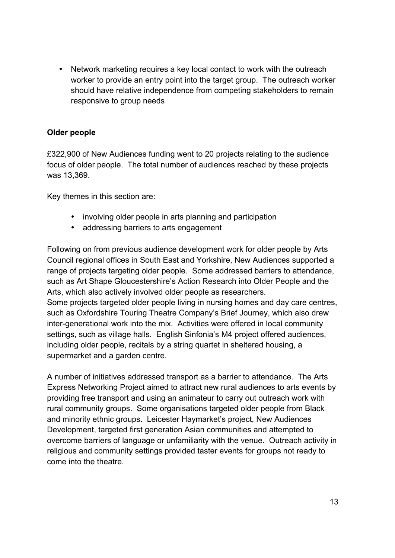• Network marketing requires a key local contact to work with the outreach worker to provide an entry point into the target group. The outreach worker should have relative independence from competing stakeholders to remain responsive to group needs

## **Older people**

£322,900 of New Audiences funding went to 20 projects relating to the audience focus of older people. The total number of audiences reached by these projects was 13,369.

Key themes in this section are:

- involving older people in arts planning and participation
- addressing barriers to arts engagement

Following on from previous audience development work for older people by Arts Council regional offices in South East and Yorkshire, New Audiences supported a range of projects targeting older people. Some addressed barriers to attendance, such as Art Shape Gloucestershire's Action Research into Older People and the Arts, which also actively involved older people as researchers. Some projects targeted older people living in nursing homes and day care centres, such as Oxfordshire Touring Theatre Company's Brief Journey, which also drew inter-generational work into the mix. Activities were offered in local community settings, such as village halls. English Sinfonia's M4 project offered audiences, including older people, recitals by a string quartet in sheltered housing, a supermarket and a garden centre.

A number of initiatives addressed transport as a barrier to attendance. The Arts Express Networking Project aimed to attract new rural audiences to arts events by providing free transport and using an animateur to carry out outreach work with rural community groups. Some organisations targeted older people from Black and minority ethnic groups. Leicester Haymarket's project, New Audiences Development, targeted first generation Asian communities and attempted to overcome barriers of language or unfamiliarity with the venue. Outreach activity in religious and community settings provided taster events for groups not ready to come into the theatre.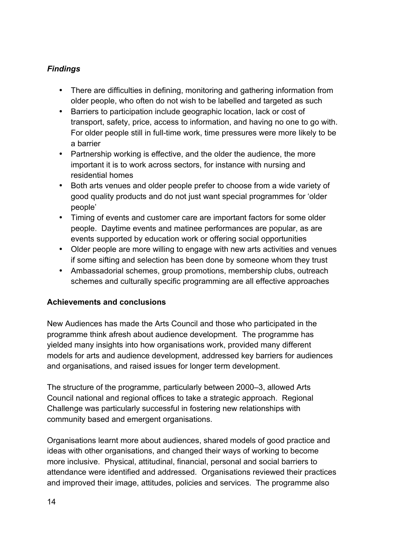# *Findings*

- There are difficulties in defining, monitoring and gathering information from older people, who often do not wish to be labelled and targeted as such
- Barriers to participation include geographic location, lack or cost of transport, safety, price, access to information, and having no one to go with. For older people still in full-time work, time pressures were more likely to be a barrier
- Partnership working is effective, and the older the audience, the more important it is to work across sectors, for instance with nursing and residential homes
- Both arts venues and older people prefer to choose from a wide variety of good quality products and do not just want special programmes for 'older people'
- Timing of events and customer care are important factors for some older people. Daytime events and matinee performances are popular, as are events supported by education work or offering social opportunities
- Older people are more willing to engage with new arts activities and venues if some sifting and selection has been done by someone whom they trust
- Ambassadorial schemes, group promotions, membership clubs, outreach schemes and culturally specific programming are all effective approaches

# **Achievements and conclusions**

New Audiences has made the Arts Council and those who participated in the programme think afresh about audience development. The programme has yielded many insights into how organisations work, provided many different models for arts and audience development, addressed key barriers for audiences and organisations, and raised issues for longer term development.

The structure of the programme, particularly between 2000–3, allowed Arts Council national and regional offices to take a strategic approach. Regional Challenge was particularly successful in fostering new relationships with community based and emergent organisations.

Organisations learnt more about audiences, shared models of good practice and ideas with other organisations, and changed their ways of working to become more inclusive. Physical, attitudinal, financial, personal and social barriers to attendance were identified and addressed. Organisations reviewed their practices and improved their image, attitudes, policies and services. The programme also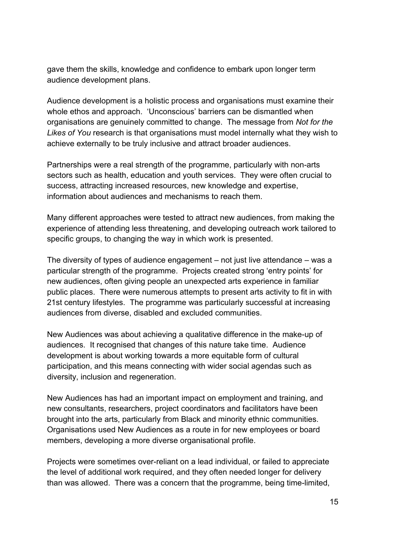gave them the skills, knowledge and confidence to embark upon longer term audience development plans.

Audience development is a holistic process and organisations must examine their whole ethos and approach. 'Unconscious' barriers can be dismantled when organisations are genuinely committed to change. The message from *Not for the Likes of You* research is that organisations must model internally what they wish to achieve externally to be truly inclusive and attract broader audiences.

Partnerships were a real strength of the programme, particularly with non-arts sectors such as health, education and youth services. They were often crucial to success, attracting increased resources, new knowledge and expertise, information about audiences and mechanisms to reach them.

Many different approaches were tested to attract new audiences, from making the experience of attending less threatening, and developing outreach work tailored to specific groups, to changing the way in which work is presented.

The diversity of types of audience engagement – not just live attendance – was a particular strength of the programme. Projects created strong 'entry points' for new audiences, often giving people an unexpected arts experience in familiar public places. There were numerous attempts to present arts activity to fit in with 21st century lifestyles. The programme was particularly successful at increasing audiences from diverse, disabled and excluded communities.

New Audiences was about achieving a qualitative difference in the make-up of audiences. It recognised that changes of this nature take time. Audience development is about working towards a more equitable form of cultural participation, and this means connecting with wider social agendas such as diversity, inclusion and regeneration.

New Audiences has had an important impact on employment and training, and new consultants, researchers, project coordinators and facilitators have been brought into the arts, particularly from Black and minority ethnic communities. Organisations used New Audiences as a route in for new employees or board members, developing a more diverse organisational profile.

Projects were sometimes over-reliant on a lead individual, or failed to appreciate the level of additional work required, and they often needed longer for delivery than was allowed. There was a concern that the programme, being time-limited,